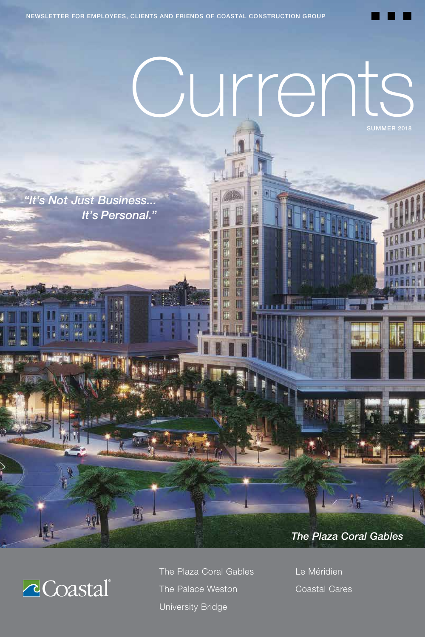# Currents

*"It's Not Just Business... It's Personal."*





The Plaza Coral Gables The Palace Weston University Bridge

中国法院团

圓 Ē 画面

> Le Méridien Coastal Cares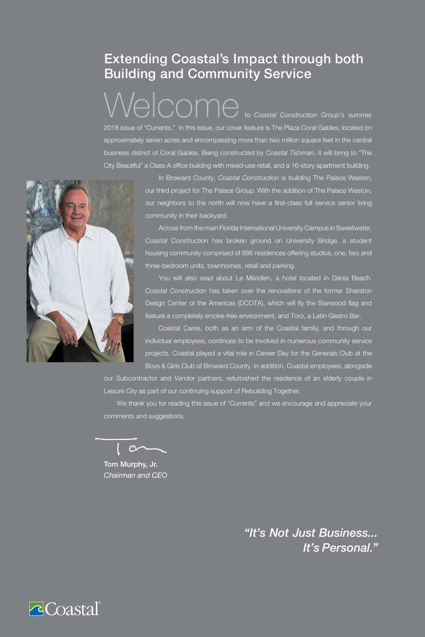### Extending Coastal's Impact through both Building and Community Service

 $\sqrt{\bigcap_{i=1}^n\bigcap_{i=1}^n\bigcap_{i=1}^n\bigcap_{i=1}^n\bigcap_{i=1}^n\bigcap_{i=1}^n\bigcap_{i=1}^n\bigcap_{i=1}^n\bigcap_{i=1}^n\bigcap_{i=1}^n\bigcap_{i=1}^n\bigcap_{i=1}^n\bigcap_{i=1}^n\bigcap_{i=1}^n\bigcap_{i=1}^n\bigcap_{i=1}^n\bigcap_{i=1}^n\bigcap_{i=1}^n\bigcap_{i=1}^n\bigcap_{i=1}^n\bigcap_{i=1}^n\bigcap_{i=1}^$ 2018 issue of "Currents." In this issue, our cover feature is The Plaza Coral Gables, located on approximately seven acres and encompassing more than two million square feet in the central business district of Coral Gables. Being constructed by *Coastal Tishman*, it will bring to "The City Beautiful" a Class A office building with mixed-use retail, and a 16-story apartment building.



In Broward County, *Coastal Construction* is building The Palace Weston, our third project for The Palace Group. With the addition of The Palace Weston, our neighbors to the north will now have a first-class full service senior living community in their backyard.

Across from the main Florida International University Campus in Sweetwater, *Coastal Construction* has broken ground on University Bridge, a student housing community comprised of 886 residences offering studios, one, two and three-bedroom units, townhomes, retail and parking.

You will also read about Le Méridien, a hotel located in Dania Beach. *Coastal Construction* has taken over the renovations of the former Sheraton Design Center of the Americas (DCOTA), which will fly the Starwood flag and feature a completely smoke-free environment, and Toro, a Latin Gastro Bar.

Coastal Cares, both as an arm of the Coastal family, and through our individual employees, continues to be involved in numerous community service projects. Coastal played a vital role in Career Day for the Generals Club at the Boys & Girls Club of Broward County. In addition, Coastal employees, alongside

our Subcontractor and Vendor partners, refurbished the residence of an elderly couple in Leisure City as part of our continuing support of Rebuilding Together.

We thank you for reading this issue of "Currents" and we encourage and appreciate your comments and suggestions.

 $\mathcal{O}$ 

Tom Murphy, Jr. *Chairman and CEO*

*"It's Not Just Business... It's Personal."*

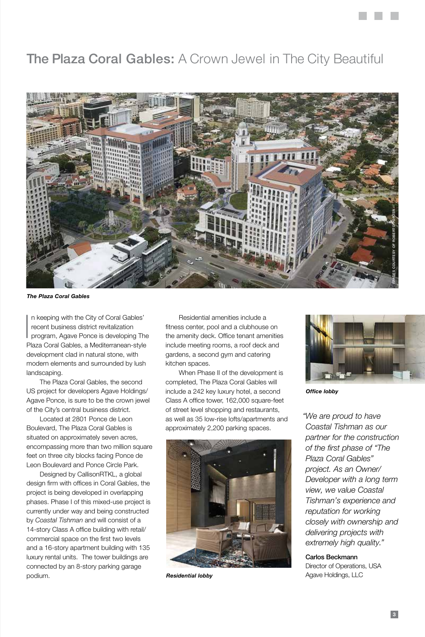# The Plaza Coral Gables: A Crown Jewel in The City Beautiful



*The Plaza Coral Gables*

 $\overline{\phantom{a}}$ n keeping with the City of Coral Gables' recent business district revitalization program, Agave Ponce is developing The Plaza Coral Gables, a Mediterranean-style development clad in natural stone, with modern elements and surrounded by lush landscaping.

The Plaza Coral Gables, the second US project for developers Agave Holdings/ Agave Ponce, is sure to be the crown jewel of the City's central business district.

Located at 2801 Ponce de Leon Boulevard, The Plaza Coral Gables is situated on approximately seven acres, encompassing more than two million square feet on three city blocks facing Ponce de Leon Boulevard and Ponce Circle Park.

Designed by CallisonRTKL, a global design firm with offices in Coral Gables, the project is being developed in overlapping phases. Phase I of this mixed-use project is currently under way and being constructed by *Coastal Tishman* and will consist of a 14-story Class A office building with retail/ commercial space on the first two levels and a 16-story apartment building with 135 luxury rental units. The tower buildings are connected by an 8-story parking garage podium.

Residential amenities include a fitness center, pool and a clubhouse on the amenity deck. Office tenant amenities include meeting rooms, a roof deck and gardens, a second gym and catering kitchen spaces.

When Phase II of the development is completed, The Plaza Coral Gables will include a 242 key luxury hotel, a second Class A office tower, 162,000 square-feet of street level shopping and restaurants, as well as 35 low-rise lofts/apartments and approximately 2,200 parking spaces.



*Residential lobby*



*Office lobby*

*"We are proud to have Coastal Tishman as our partner for the construction of the first phase of "The Plaza Coral Gables" project. As an Owner/ Developer with a long term view, we value Coastal Tishman's experience and reputation for working closely with ownership and delivering projects with extremely high quality."*

 Carlos Beckmann Director of Operations, USA Agave Holdings, LLC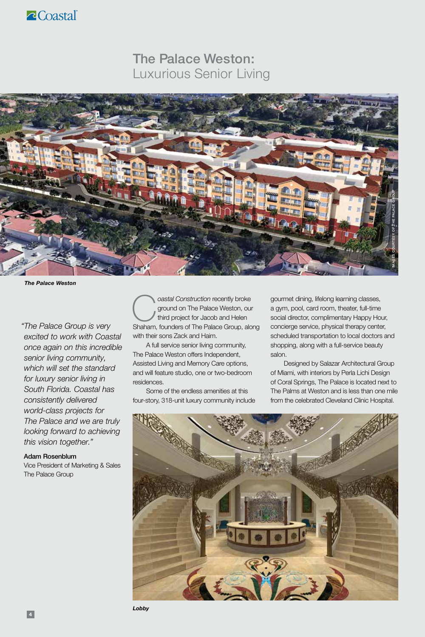

### The Palace Weston: Luxurious Senior Living



*The Palace Weston*

*"The Palace Group is very excited to work with Coastal once again on this incredible senior living community, which will set the standard for luxury senior living in South Florida. Coastal has consistently delivered world-class projects for The Palace and we are truly looking forward to achieving this vision together."*

#### Adam Rosenblum

Vice President of Marketing & Sales The Palace Group

**Coastal Construction recently broke ground on The Palace Weston, our third project for Jacob and Helen Shaham, founders of The Palace Group, along** ground on The Palace Weston, our third project for Jacob and Helen with their sons Zack and Haim.

A full service senior living community, The Palace Weston offers Independent, Assisted Living and Memory Care options, and will feature studio, one or two-bedroom residences.

Some of the endless amenities at this four-story, 318-unit luxury community include gourmet dining, lifelong learning classes, a gym, pool, card room, theater, full-time social director, complimentary Happy Hour, concierge service, physical therapy center, scheduled transportation to local doctors and shopping, along with a full-service beauty salon.

Designed by Salazar Architectural Group of Miami, with interiors by Perla Lichi Design of Coral Springs, The Palace is located next to The Palms at Weston and is less than one mile from the celebrated Cleveland Clinic Hospital.

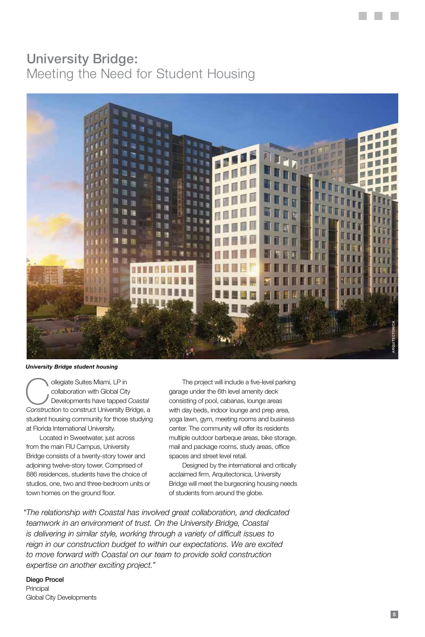#### University Bridge: Meeting the Need for Student Housing



*University Bridge student housing*

**Collegiate Suites Miami, LP in**<br> **Collaboration with Global City**<br> *Construction* to construct University Bridge, a collaboration with Global City Developments have tapped *Coastal*  student housing community for those studying at Florida International University.

Located in Sweetwater, just across from the main FIU Campus, University Bridge consists of a twenty-story tower and adjoining twelve-story tower. Comprised of 886 residences, students have the choice of studios, one, two and three-bedroom units or town homes on the ground floor.

The project will include a five-level parking garage under the 6th level amenity deck consisting of pool, cabanas, lounge areas with day beds, indoor lounge and prep area, yoga lawn, gym, meeting rooms and business center. The community will offer its residents multiple outdoor barbeque areas, bike storage, mail and package rooms, study areas, office spaces and street level retail.

Designed by the international and critically acclaimed firm, Arquitectonica, University Bridge will meet the burgeoning housing needs of students from around the globe.

*"The relationship with Coastal has involved great collaboration, and dedicated teamwork in an environment of trust. On the University Bridge, Coastal is delivering in similar style, working through a variety of difficult issues to reign in our construction budget to within our expectations. We are excited to move forward with Coastal on our team to provide solid construction expertise on another exciting project."*

 Diego Procel Principal Global City Developments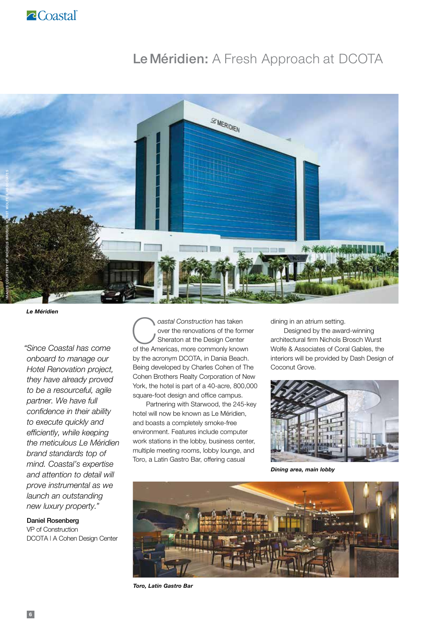## Le Méridien: A Fresh Approach at DCOTA



*Le Méridien*

*"Since Coastal has come onboard to manage our Hotel Renovation project, they have already proved to be a resourceful, agile partner. We have full confidence in their ability to execute quickly and efficiently, while keeping the meticulous Le Méridien brand standards top of mind. Coastal's expertise and attention to detail will prove instrumental as we launch an outstanding new luxury property."*

 Daniel Rosenberg VP of Construction DCOTA | A Cohen Design Center **Coastal Construction has taken**<br>
over the renovations of the form<br>
of the Americas more commonly know over the renovations of the former Sheraton at the Design Center of the Americas, more commonly known by the acronym DCOTA, in Dania Beach. Being developed by Charles Cohen of The Cohen Brothers Realty Corporation of New York, the hotel is part of a 40-acre, 800,000 square-foot design and office campus.

Partnering with Starwood, the 245-key hotel will now be known as Le Méridien, and boasts a completely smoke-free environment. Features include computer work stations in the lobby, business center, multiple meeting rooms, lobby lounge, and Toro, a Latin Gastro Bar, offering casual

dining in an atrium setting.

Designed by the award-winning architectural firm Nichols Brosch Wurst Wolfe & Associates of Coral Gables, the interiors will be provided by Dash Design of Coconut Grove.



*Dining area, main lobby*



*Toro, Latin Gastro Bar*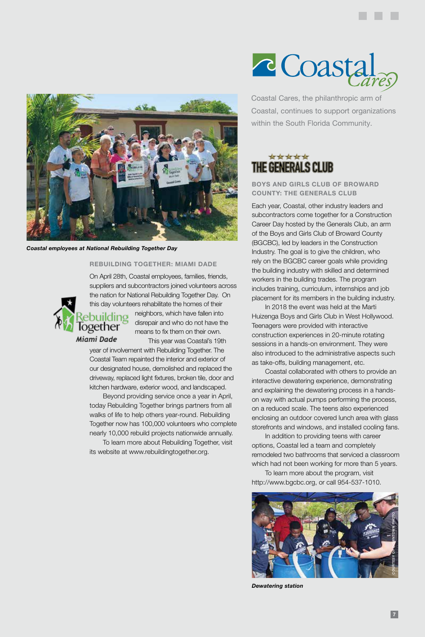

*Coastal employees at National Rebuilding Together Day*

logether

#### **REBUILDING TOGETHER: MIAMI DADE**

On April 28th, Coastal employees, families, friends, suppliers and subcontractors joined volunteers across the nation for National Rebuilding Together Day. On this day volunteers rehabilitate the homes of their

neighbors, which have fallen into building disrepair and who do not have the means to fix them on their own.

Miami Dade This year was Coastal's 19th year of involvement with Rebuilding Together. The

Coastal Team repainted the interior and exterior of our designated house, demolished and replaced the driveway, replaced light fixtures, broken tile, door and kitchen hardware, exterior wood, and landscaped.

Beyond providing service once a year in April, today Rebuilding Together brings partners from all walks of life to help others year-round. Rebuilding Together now has 100,000 volunteers who complete nearly 10,000 rebuild projects nationwide annually.

To learn more about Rebuilding Together, visit its website at www.rebuildingtogether.org.

# c Coasta

Coastal Cares, the philanthropic arm of Coastal, continues to support organizations within the South Florida Community.

#### \*\*\*\*\* THE GENERALS CLUB

**BOYS AND GIRLS CLUB OF BROWARD COUNTY: THE GENERALS CLUB**

Each year, Coastal, other industry leaders and subcontractors come together for a Construction Career Day hosted by the Generals Club, an arm of the Boys and Girls Club of Broward County (BGCBC), led by leaders in the Construction Industry. The goal is to give the children, who rely on the BGCBC career goals while providing the building industry with skilled and determined workers in the building trades. The program includes training, curriculum, internships and job placement for its members in the building industry.

In 2018 the event was held at the Marti Huizenga Boys and Girls Club in West Hollywood. Teenagers were provided with interactive construction experiences in 20-minute rotating sessions in a hands-on environment. They were also introduced to the administrative aspects such as take-offs, building management, etc.

Coastal collaborated with others to provide an interactive dewatering experience, demonstrating and explaining the dewatering process in a handson way with actual pumps performing the process, on a reduced scale. The teens also experienced enclosing an outdoor covered lunch area with glass storefronts and windows, and installed cooling fans.

In addition to providing teens with career options, Coastal led a team and completely remodeled two bathrooms that serviced a classroom which had not been working for more than 5 years.

To learn more about the program, visit http://www.bgcbc.org, or call 954-537-1010.



*Dewatering station*